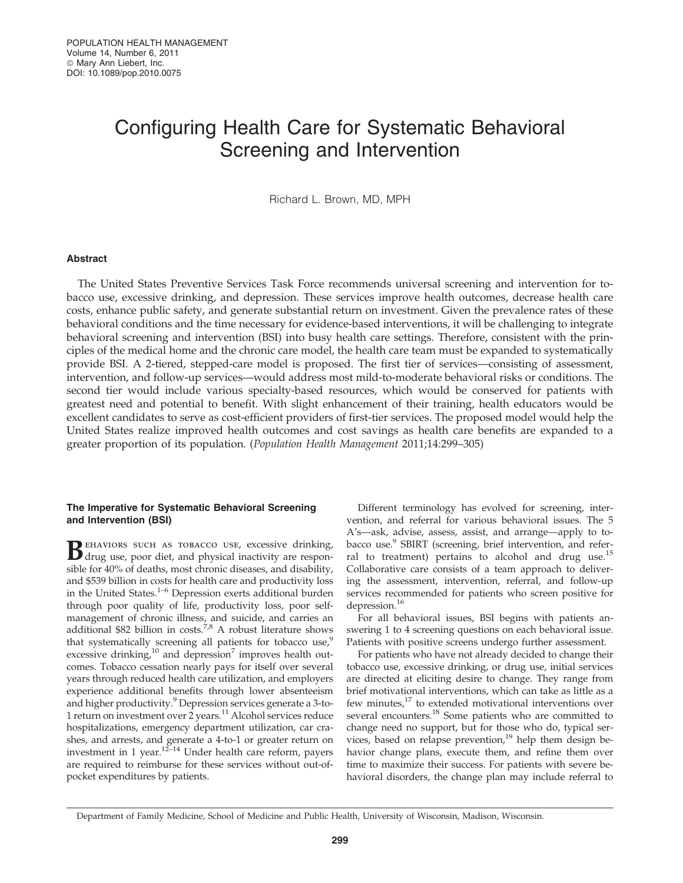# Configuring Health Care for Systematic Behavioral Screening and Intervention

Richard L. Brown, MD, MPH

# Abstract

The United States Preventive Services Task Force recommends universal screening and intervention for tobacco use, excessive drinking, and depression. These services improve health outcomes, decrease health care costs, enhance public safety, and generate substantial return on investment. Given the prevalence rates of these behavioral conditions and the time necessary for evidence-based interventions, it will be challenging to integrate behavioral screening and intervention (BSI) into busy health care settings. Therefore, consistent with the principles of the medical home and the chronic care model, the health care team must be expanded to systematically provide BSI. A 2-tiered, stepped-care model is proposed. The first tier of services—consisting of assessment, intervention, and follow-up services—would address most mild-to-moderate behavioral risks or conditions. The second tier would include various specialty-based resources, which would be conserved for patients with greatest need and potential to benefit. With slight enhancement of their training, health educators would be excellent candidates to serve as cost-efficient providers of first-tier services. The proposed model would help the United States realize improved health outcomes and cost savings as health care benefits are expanded to a greater proportion of its population. (Population Health Management 2011;14:299–305)

# The Imperative for Systematic Behavioral Screening and Intervention (BSI)

Behaviors such as tobacco use, excessive drinking,<br>drug use, poor diet, and physical inactivity are responsible for 40% of deaths, most chronic diseases, and disability, and \$539 billion in costs for health care and productivity loss in the United States.<sup>1–6</sup> Depression exerts additional burden through poor quality of life, productivity loss, poor selfmanagement of chronic illness, and suicide, and carries an additional \$82 billion in costs.<sup>7,8</sup> A robust literature shows that systematically screening all patients for tobacco use,<sup>9</sup> excessive drinking, $^{10}$  and depression<sup>7</sup> improves health outcomes. Tobacco cessation nearly pays for itself over several years through reduced health care utilization, and employers experience additional benefits through lower absenteeism and higher productivity.<sup>9</sup> Depression services generate a 3-to-1 return on investment over 2 years.<sup>11</sup> Alcohol services reduce hospitalizations, emergency department utilization, car crashes, and arrests, and generate a 4-to-1 or greater return on investment in 1 year.12–14 Under health care reform, payers are required to reimburse for these services without out-ofpocket expenditures by patients.

Different terminology has evolved for screening, intervention, and referral for various behavioral issues. The 5 A's—ask, advise, assess, assist, and arrange—apply to tobacco use.<sup>9</sup> SBIRT (screening, brief intervention, and referral to treatment) pertains to alcohol and drug use.<sup>15</sup> Collaborative care consists of a team approach to delivering the assessment, intervention, referral, and follow-up services recommended for patients who screen positive for depression.<sup>16</sup>

For all behavioral issues, BSI begins with patients answering 1 to 4 screening questions on each behavioral issue. Patients with positive screens undergo further assessment.

For patients who have not already decided to change their tobacco use, excessive drinking, or drug use, initial services are directed at eliciting desire to change. They range from brief motivational interventions, which can take as little as a few minutes, $^{17}$  to extended motivational interventions over several encounters.<sup>18</sup> Some patients who are committed to change need no support, but for those who do, typical services, based on relapse prevention,<sup>19</sup> help them design behavior change plans, execute them, and refine them over time to maximize their success. For patients with severe behavioral disorders, the change plan may include referral to

Department of Family Medicine, School of Medicine and Public Health, University of Wisconsin, Madison, Wisconsin.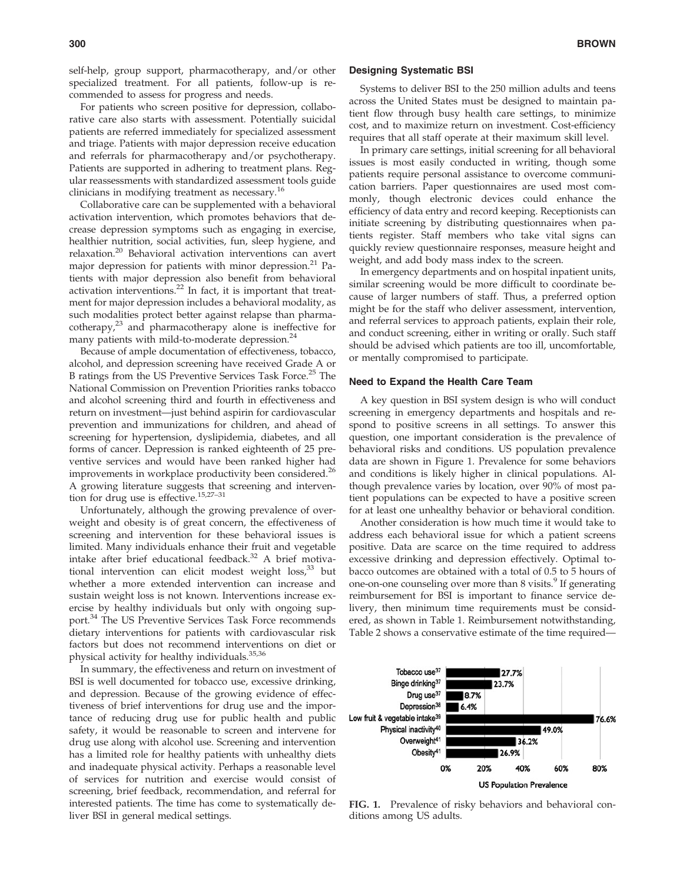self-help, group support, pharmacotherapy, and/or other specialized treatment. For all patients, follow-up is recommended to assess for progress and needs.

For patients who screen positive for depression, collaborative care also starts with assessment. Potentially suicidal patients are referred immediately for specialized assessment and triage. Patients with major depression receive education and referrals for pharmacotherapy and/or psychotherapy. Patients are supported in adhering to treatment plans. Regular reassessments with standardized assessment tools guide clinicians in modifying treatment as necessary.<sup>16</sup>

Collaborative care can be supplemented with a behavioral activation intervention, which promotes behaviors that decrease depression symptoms such as engaging in exercise, healthier nutrition, social activities, fun, sleep hygiene, and relaxation.<sup>20</sup> Behavioral activation interventions can avert major depression for patients with minor depression.<sup>21</sup> Patients with major depression also benefit from behavioral activation interventions.<sup>22</sup> In fact, it is important that treatment for major depression includes a behavioral modality, as such modalities protect better against relapse than pharmacotherapy, $2^3$  and pharmacotherapy alone is ineffective for many patients with mild-to-moderate depression.<sup>24</sup>

Because of ample documentation of effectiveness, tobacco, alcohol, and depression screening have received Grade A or B ratings from the US Preventive Services Task Force.<sup>25</sup> The National Commission on Prevention Priorities ranks tobacco and alcohol screening third and fourth in effectiveness and return on investment—just behind aspirin for cardiovascular prevention and immunizations for children, and ahead of screening for hypertension, dyslipidemia, diabetes, and all forms of cancer. Depression is ranked eighteenth of 25 preventive services and would have been ranked higher had improvements in workplace productivity been considered.<sup>26</sup> A growing literature suggests that screening and intervention for drug use is effective.15,27–31

Unfortunately, although the growing prevalence of overweight and obesity is of great concern, the effectiveness of screening and intervention for these behavioral issues is limited. Many individuals enhance their fruit and vegetable intake after brief educational feedback.<sup>32</sup> A brief motivational intervention can elicit modest weight loss,<sup>33</sup> but whether a more extended intervention can increase and sustain weight loss is not known. Interventions increase exercise by healthy individuals but only with ongoing support.<sup>34</sup> The US Preventive Services Task Force recommends dietary interventions for patients with cardiovascular risk factors but does not recommend interventions on diet or physical activity for healthy individuals.<sup>35,36</sup>

In summary, the effectiveness and return on investment of BSI is well documented for tobacco use, excessive drinking, and depression. Because of the growing evidence of effectiveness of brief interventions for drug use and the importance of reducing drug use for public health and public safety, it would be reasonable to screen and intervene for drug use along with alcohol use. Screening and intervention has a limited role for healthy patients with unhealthy diets and inadequate physical activity. Perhaps a reasonable level of services for nutrition and exercise would consist of screening, brief feedback, recommendation, and referral for interested patients. The time has come to systematically deliver BSI in general medical settings.

## Designing Systematic BSI

Systems to deliver BSI to the 250 million adults and teens across the United States must be designed to maintain patient flow through busy health care settings, to minimize cost, and to maximize return on investment. Cost-efficiency requires that all staff operate at their maximum skill level.

In primary care settings, initial screening for all behavioral issues is most easily conducted in writing, though some patients require personal assistance to overcome communication barriers. Paper questionnaires are used most commonly, though electronic devices could enhance the efficiency of data entry and record keeping. Receptionists can initiate screening by distributing questionnaires when patients register. Staff members who take vital signs can quickly review questionnaire responses, measure height and weight, and add body mass index to the screen.

In emergency departments and on hospital inpatient units, similar screening would be more difficult to coordinate because of larger numbers of staff. Thus, a preferred option might be for the staff who deliver assessment, intervention, and referral services to approach patients, explain their role, and conduct screening, either in writing or orally. Such staff should be advised which patients are too ill, uncomfortable, or mentally compromised to participate.

### Need to Expand the Health Care Team

A key question in BSI system design is who will conduct screening in emergency departments and hospitals and respond to positive screens in all settings. To answer this question, one important consideration is the prevalence of behavioral risks and conditions. US population prevalence data are shown in Figure 1. Prevalence for some behaviors and conditions is likely higher in clinical populations. Although prevalence varies by location, over 90% of most patient populations can be expected to have a positive screen for at least one unhealthy behavior or behavioral condition.

Another consideration is how much time it would take to address each behavioral issue for which a patient screens positive. Data are scarce on the time required to address excessive drinking and depression effectively. Optimal tobacco outcomes are obtained with a total of 0.5 to 5 hours of one-on-one counseling over more than 8 visits.<sup>9</sup> If generating reimbursement for BSI is important to finance service delivery, then minimum time requirements must be considered, as shown in Table 1. Reimbursement notwithstanding, Table 2 shows a conservative estimate of the time required—



FIG. 1. Prevalence of risky behaviors and behavioral conditions among US adults.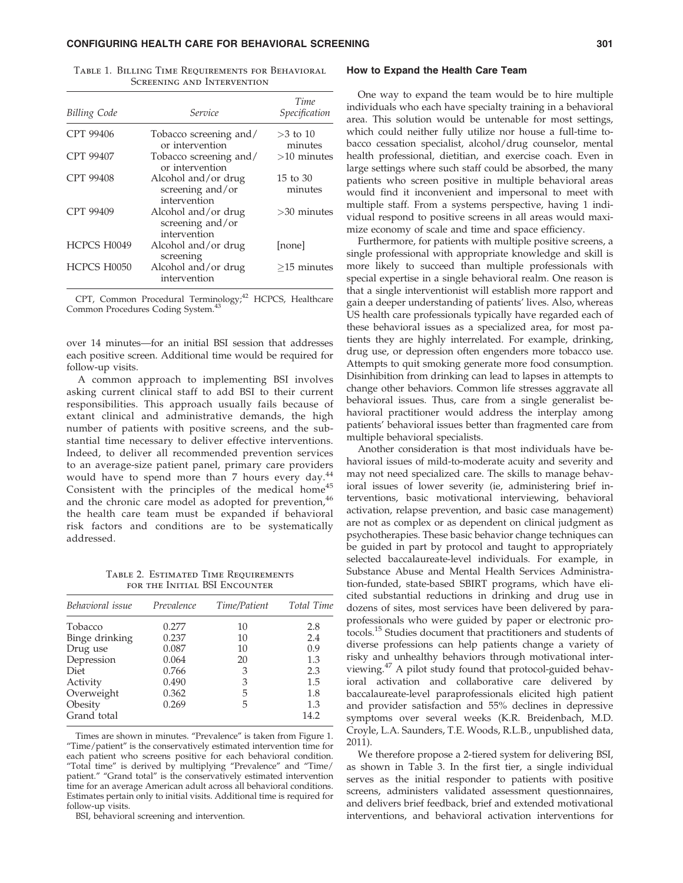## CONFIGURING HEALTH CARE FOR BEHAVIORAL SCREENING **SUMPLE 1999** 301

| <b>Billing Code</b> | Service                                                 | Time<br>Specification |  |
|---------------------|---------------------------------------------------------|-----------------------|--|
| CPT 99406           | Tobacco screening and/<br>or intervention               | $>3$ to 10<br>minutes |  |
| <b>CPT 99407</b>    | Tobacco screening and/<br>or intervention               | $>10$ minutes         |  |
| CPT 99408           | Alcohol and/or drug<br>screening and/or<br>intervention | 15 to 30<br>minutes   |  |
| CPT 99409           | Alcohol and/or drug<br>screening and/or<br>intervention | $>30$ minutes         |  |
| HCPCS H0049         | Alcohol and/or drug<br>screening                        | [none]                |  |
| HCPCS H0050         | Alcohol and/or drug<br>intervention                     | $>15$ minutes         |  |

Table 1. Billing Time Requirements for Behavioral Screening and Intervention

CPT, Common Procedural Terminology;<sup>42</sup> HCPCS, Healthcare Common Procedures Coding System.<sup>43</sup>

over 14 minutes—for an initial BSI session that addresses each positive screen. Additional time would be required for follow-up visits.

A common approach to implementing BSI involves asking current clinical staff to add BSI to their current responsibilities. This approach usually fails because of extant clinical and administrative demands, the high number of patients with positive screens, and the substantial time necessary to deliver effective interventions. Indeed, to deliver all recommended prevention services to an average-size patient panel, primary care providers would have to spend more than  $7$  hours every day. $44$ Consistent with the principles of the medical home<sup>45</sup> and the chronic care model as adopted for prevention, 46 the health care team must be expanded if behavioral risk factors and conditions are to be systematically addressed.

Table 2. Estimated Time Requirements for the Initial BSI Encounter

| Behavioral issue | Prevalence | Time/Patient | Total Time |  |
|------------------|------------|--------------|------------|--|
| Tobacco          | 0.277      | 10           | 2.8        |  |
| Binge drinking   | 0.237      | 10           | 2.4        |  |
| Drug use         | 0.087      | 10           | 0.9        |  |
| Depression       | 0.064      | 20           | 1.3        |  |
| Diet             | 0.766      | 3            | 2.3        |  |
| Activity         | 0.490      | 3            | 1.5        |  |
| Overweight       | 0.362      | 5            | 1.8        |  |
| Obesity          | 0.269      | 5            | 1.3        |  |
| Grand total      |            |              | 14.2       |  |

Times are shown in minutes. "Prevalence" is taken from Figure 1. ''Time/patient'' is the conservatively estimated intervention time for each patient who screens positive for each behavioral condition. "Total time" is derived by multiplying "Prevalence" and "Time/ patient." "Grand total" is the conservatively estimated intervention time for an average American adult across all behavioral conditions. Estimates pertain only to initial visits. Additional time is required for follow-up visits.

BSI, behavioral screening and intervention.

#### How to Expand the Health Care Team

One way to expand the team would be to hire multiple individuals who each have specialty training in a behavioral area. This solution would be untenable for most settings, which could neither fully utilize nor house a full-time tobacco cessation specialist, alcohol/drug counselor, mental health professional, dietitian, and exercise coach. Even in large settings where such staff could be absorbed, the many patients who screen positive in multiple behavioral areas would find it inconvenient and impersonal to meet with multiple staff. From a systems perspective, having 1 individual respond to positive screens in all areas would maximize economy of scale and time and space efficiency.

Furthermore, for patients with multiple positive screens, a single professional with appropriate knowledge and skill is more likely to succeed than multiple professionals with special expertise in a single behavioral realm. One reason is that a single interventionist will establish more rapport and gain a deeper understanding of patients' lives. Also, whereas US health care professionals typically have regarded each of these behavioral issues as a specialized area, for most patients they are highly interrelated. For example, drinking, drug use, or depression often engenders more tobacco use. Attempts to quit smoking generate more food consumption. Disinhibition from drinking can lead to lapses in attempts to change other behaviors. Common life stresses aggravate all behavioral issues. Thus, care from a single generalist behavioral practitioner would address the interplay among patients' behavioral issues better than fragmented care from multiple behavioral specialists.

Another consideration is that most individuals have behavioral issues of mild-to-moderate acuity and severity and may not need specialized care. The skills to manage behavioral issues of lower severity (ie, administering brief interventions, basic motivational interviewing, behavioral activation, relapse prevention, and basic case management) are not as complex or as dependent on clinical judgment as psychotherapies. These basic behavior change techniques can be guided in part by protocol and taught to appropriately selected baccalaureate-level individuals. For example, in Substance Abuse and Mental Health Services Administration-funded, state-based SBIRT programs, which have elicited substantial reductions in drinking and drug use in dozens of sites, most services have been delivered by paraprofessionals who were guided by paper or electronic protocols.<sup>15</sup> Studies document that practitioners and students of diverse professions can help patients change a variety of risky and unhealthy behaviors through motivational interviewing.<sup>47</sup> A pilot study found that protocol-guided behavioral activation and collaborative care delivered by baccalaureate-level paraprofessionals elicited high patient and provider satisfaction and 55% declines in depressive symptoms over several weeks (K.R. Breidenbach, M.D. Croyle, L.A. Saunders, T.E. Woods, R.L.B., unpublished data, 2011).

We therefore propose a 2-tiered system for delivering BSI, as shown in Table 3. In the first tier, a single individual serves as the initial responder to patients with positive screens, administers validated assessment questionnaires, and delivers brief feedback, brief and extended motivational interventions, and behavioral activation interventions for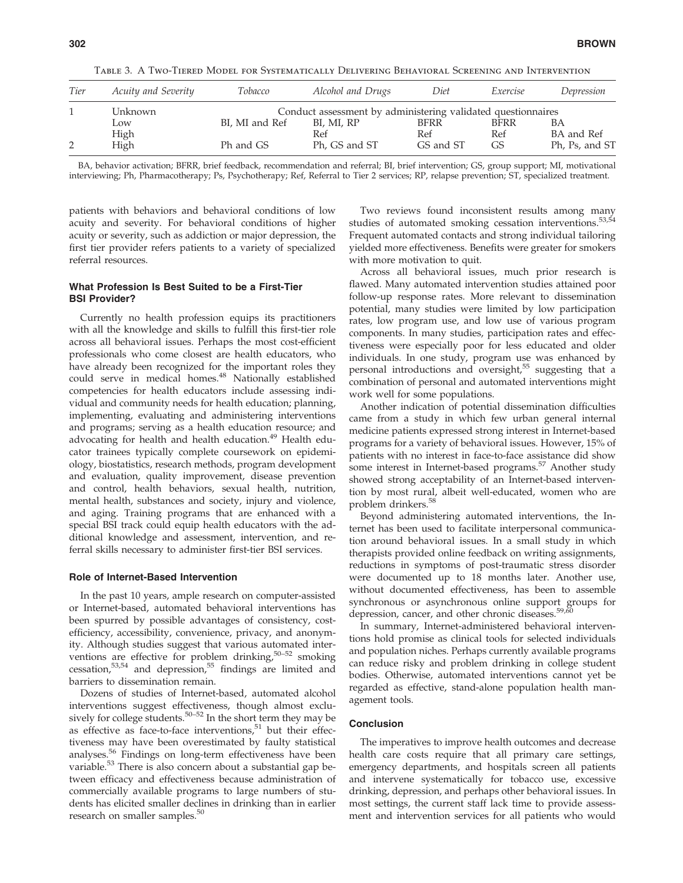| Tier | Acuity and Severity | Tobacco                                                      | Alcohol and Drugs | Diet        | Exercise    | Depression     |  |  |
|------|---------------------|--------------------------------------------------------------|-------------------|-------------|-------------|----------------|--|--|
|      | Unknown             | Conduct assessment by administering validated questionnaires |                   |             |             |                |  |  |
|      | Low                 | BI, MI and Ref                                               | BI, MI, RP        | <b>BFRR</b> | <b>BFRR</b> | ΒA             |  |  |
|      | High                |                                                              | Ref               | Ref         | Ref         | BA and Ref     |  |  |
|      | High                | Ph and GS                                                    | Ph, GS and ST     | GS and ST   | GS          | Ph, Ps, and ST |  |  |

Table 3. A Two-Tiered Model for Systematically Delivering Behavioral Screening and Intervention

BA, behavior activation; BFRR, brief feedback, recommendation and referral; BI, brief intervention; GS, group support; MI, motivational interviewing; Ph, Pharmacotherapy; Ps, Psychotherapy; Ref, Referral to Tier 2 services; RP, relapse prevention; ST, specialized treatment.

patients with behaviors and behavioral conditions of low acuity and severity. For behavioral conditions of higher acuity or severity, such as addiction or major depression, the first tier provider refers patients to a variety of specialized referral resources.

# What Profession Is Best Suited to be a First-Tier BSI Provider?

Currently no health profession equips its practitioners with all the knowledge and skills to fulfill this first-tier role across all behavioral issues. Perhaps the most cost-efficient professionals who come closest are health educators, who have already been recognized for the important roles they could serve in medical homes.<sup>48</sup> Nationally established competencies for health educators include assessing individual and community needs for health education; planning, implementing, evaluating and administering interventions and programs; serving as a health education resource; and advocating for health and health education.<sup>49</sup> Health educator trainees typically complete coursework on epidemiology, biostatistics, research methods, program development and evaluation, quality improvement, disease prevention and control, health behaviors, sexual health, nutrition, mental health, substances and society, injury and violence, and aging. Training programs that are enhanced with a special BSI track could equip health educators with the additional knowledge and assessment, intervention, and referral skills necessary to administer first-tier BSI services.

# Role of Internet-Based Intervention

In the past 10 years, ample research on computer-assisted or Internet-based, automated behavioral interventions has been spurred by possible advantages of consistency, costefficiency, accessibility, convenience, privacy, and anonymity. Although studies suggest that various automated interventions are effective for problem drinking, $50-52$  smoking cessation,53,54 and depression,<sup>55</sup> findings are limited and barriers to dissemination remain.

Dozens of studies of Internet-based, automated alcohol interventions suggest effectiveness, though almost exclusively for college students.<sup>50–52</sup> In the short term they may be as effective as face-to-face interventions,<sup>51</sup> but their effectiveness may have been overestimated by faulty statistical analyses.<sup>56</sup> Findings on long-term effectiveness have been variable.<sup>53</sup> There is also concern about a substantial gap between efficacy and effectiveness because administration of commercially available programs to large numbers of students has elicited smaller declines in drinking than in earlier research on smaller samples.<sup>50</sup>

Two reviews found inconsistent results among many studies of automated smoking cessation interventions.<sup>53,54</sup> Frequent automated contacts and strong individual tailoring yielded more effectiveness. Benefits were greater for smokers with more motivation to quit.

Across all behavioral issues, much prior research is flawed. Many automated intervention studies attained poor follow-up response rates. More relevant to dissemination potential, many studies were limited by low participation rates, low program use, and low use of various program components. In many studies, participation rates and effectiveness were especially poor for less educated and older individuals. In one study, program use was enhanced by personal introductions and oversight,<sup>55</sup> suggesting that a combination of personal and automated interventions might work well for some populations.

Another indication of potential dissemination difficulties came from a study in which few urban general internal medicine patients expressed strong interest in Internet-based programs for a variety of behavioral issues. However, 15% of patients with no interest in face-to-face assistance did show some interest in Internet-based programs.<sup>57</sup> Another study showed strong acceptability of an Internet-based intervention by most rural, albeit well-educated, women who are problem drinkers.<sup>58</sup>

Beyond administering automated interventions, the Internet has been used to facilitate interpersonal communication around behavioral issues. In a small study in which therapists provided online feedback on writing assignments, reductions in symptoms of post-traumatic stress disorder were documented up to 18 months later. Another use, without documented effectiveness, has been to assemble synchronous or asynchronous online support groups for depression, cancer, and other chronic diseases.<sup>59,60</sup>

In summary, Internet-administered behavioral interventions hold promise as clinical tools for selected individuals and population niches. Perhaps currently available programs can reduce risky and problem drinking in college student bodies. Otherwise, automated interventions cannot yet be regarded as effective, stand-alone population health management tools.

# Conclusion

The imperatives to improve health outcomes and decrease health care costs require that all primary care settings, emergency departments, and hospitals screen all patients and intervene systematically for tobacco use, excessive drinking, depression, and perhaps other behavioral issues. In most settings, the current staff lack time to provide assessment and intervention services for all patients who would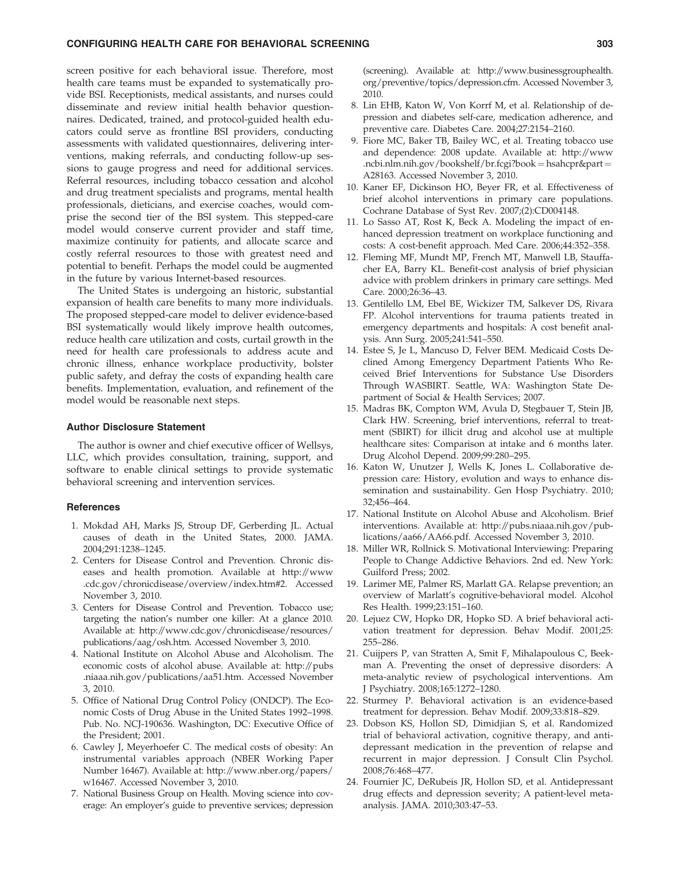# CONFIGURING HEALTH CARE FOR BEHAVIORAL SCREENING 303

screen positive for each behavioral issue. Therefore, most health care teams must be expanded to systematically provide BSI. Receptionists, medical assistants, and nurses could disseminate and review initial health behavior questionnaires. Dedicated, trained, and protocol-guided health educators could serve as frontline BSI providers, conducting assessments with validated questionnaires, delivering interventions, making referrals, and conducting follow-up sessions to gauge progress and need for additional services. Referral resources, including tobacco cessation and alcohol and drug treatment specialists and programs, mental health professionals, dieticians, and exercise coaches, would comprise the second tier of the BSI system. This stepped-care model would conserve current provider and staff time, maximize continuity for patients, and allocate scarce and costly referral resources to those with greatest need and potential to benefit. Perhaps the model could be augmented in the future by various Internet-based resources.

The United States is undergoing an historic, substantial expansion of health care benefits to many more individuals. The proposed stepped-care model to deliver evidence-based BSI systematically would likely improve health outcomes, reduce health care utilization and costs, curtail growth in the need for health care professionals to address acute and chronic illness, enhance workplace productivity, bolster public safety, and defray the costs of expanding health care benefits. Implementation, evaluation, and refinement of the model would be reasonable next steps.

#### Author Disclosure Statement

The author is owner and chief executive officer of Wellsys, LLC, which provides consultation, training, support, and software to enable clinical settings to provide systematic behavioral screening and intervention services.

# **References**

- 1. Mokdad AH, Marks JS, Stroup DF, Gerberding JL. Actual causes of death in the United States, 2000. JAMA. 2004;291:1238–1245.
- 2. Centers for Disease Control and Prevention. Chronic diseases and health promotion. Available at http://www .cdc.gov/chronicdisease/overview/index.htm#2. Accessed November 3, 2010.
- 3. Centers for Disease Control and Prevention. Tobacco use; targeting the nation's number one killer: At a glance 2010. Available at: http://www.cdc.gov/chronicdisease/resources/ publications/aag/osh.htm. Accessed November 3, 2010.
- 4. National Institute on Alcohol Abuse and Alcoholism. The economic costs of alcohol abuse. Available at: http://pubs .niaaa.nih.gov/publications/aa51.htm. Accessed November 3, 2010.
- 5. Office of National Drug Control Policy (ONDCP). The Economic Costs of Drug Abuse in the United States 1992–1998. Pub. No. NCJ-190636. Washington, DC: Executive Office of the President; 2001.
- 6. Cawley J, Meyerhoefer C. The medical costs of obesity: An instrumental variables approach (NBER Working Paper Number 16467). Available at: http://www.nber.org/papers/ w16467. Accessed November 3, 2010.
- 7. National Business Group on Health. Moving science into coverage: An employer's guide to preventive services; depression

(screening). Available at: http://www.businessgrouphealth. org/preventive/topics/depression.cfm. Accessed November 3, 2010.

- 8. Lin EHB, Katon W, Von Korrf M, et al. Relationship of depression and diabetes self-care, medication adherence, and preventive care. Diabetes Care. 2004;27:2154–2160.
- 9. Fiore MC, Baker TB, Bailey WC, et al. Treating tobacco use and dependence: 2008 update. Available at: http://www .ncbi.nlm.nih.gov/bookshelf/br.fcgi?book = hsahcpr&part = A28163. Accessed November 3, 2010.
- 10. Kaner EF, Dickinson HO, Beyer FR, et al. Effectiveness of brief alcohol interventions in primary care populations. Cochrane Database of Syst Rev. 2007;(2):CD004148.
- 11. Lo Sasso AT, Rost K, Beck A. Modeling the impact of enhanced depression treatment on workplace functioning and costs: A cost-benefit approach. Med Care. 2006;44:352–358.
- 12. Fleming MF, Mundt MP, French MT, Manwell LB, Stauffacher EA, Barry KL. Benefit-cost analysis of brief physician advice with problem drinkers in primary care settings. Med Care. 2000;26:36–43.
- 13. Gentilello LM, Ebel BE, Wickizer TM, Salkever DS, Rivara FP. Alcohol interventions for trauma patients treated in emergency departments and hospitals: A cost benefit analysis. Ann Surg. 2005;241:541–550.
- 14. Estee S, Je L, Mancuso D, Felver BEM. Medicaid Costs Declined Among Emergency Department Patients Who Received Brief Interventions for Substance Use Disorders Through WASBIRT. Seattle, WA: Washington State Department of Social & Health Services; 2007.
- 15. Madras BK, Compton WM, Avula D, Stegbauer T, Stein JB, Clark HW. Screening, brief interventions, referral to treatment (SBIRT) for illicit drug and alcohol use at multiple healthcare sites: Comparison at intake and 6 months later. Drug Alcohol Depend. 2009;99:280–295.
- 16. Katon W, Unutzer J, Wells K, Jones L. Collaborative depression care: History, evolution and ways to enhance dissemination and sustainability. Gen Hosp Psychiatry. 2010; 32;456–464.
- 17. National Institute on Alcohol Abuse and Alcoholism. Brief interventions. Available at: http://pubs.niaaa.nih.gov/publications/aa66/AA66.pdf. Accessed November 3, 2010.
- 18. Miller WR, Rollnick S. Motivational Interviewing: Preparing People to Change Addictive Behaviors. 2nd ed. New York: Guilford Press; 2002.
- 19. Larimer ME, Palmer RS, Marlatt GA. Relapse prevention; an overview of Marlatt's cognitive-behavioral model. Alcohol Res Health. 1999;23:151–160.
- 20. Lejuez CW, Hopko DR, Hopko SD. A brief behavioral activation treatment for depression. Behav Modif. 2001;25: 255–286.
- 21. Cuijpers P, van Stratten A, Smit F, Mihalapoulous C, Beekman A. Preventing the onset of depressive disorders: A meta-analytic review of psychological interventions. Am J Psychiatry. 2008;165:1272–1280.
- 22. Sturmey P. Behavioral activation is an evidence-based treatment for depression. Behav Modif. 2009;33:818–829.
- 23. Dobson KS, Hollon SD, Dimidjian S, et al. Randomized trial of behavioral activation, cognitive therapy, and antidepressant medication in the prevention of relapse and recurrent in major depression. J Consult Clin Psychol. 2008;76:468–477.
- 24. Fournier JC, DeRubeis JR, Hollon SD, et al. Antidepressant drug effects and depression severity; A patient-level metaanalysis. JAMA. 2010;303:47–53.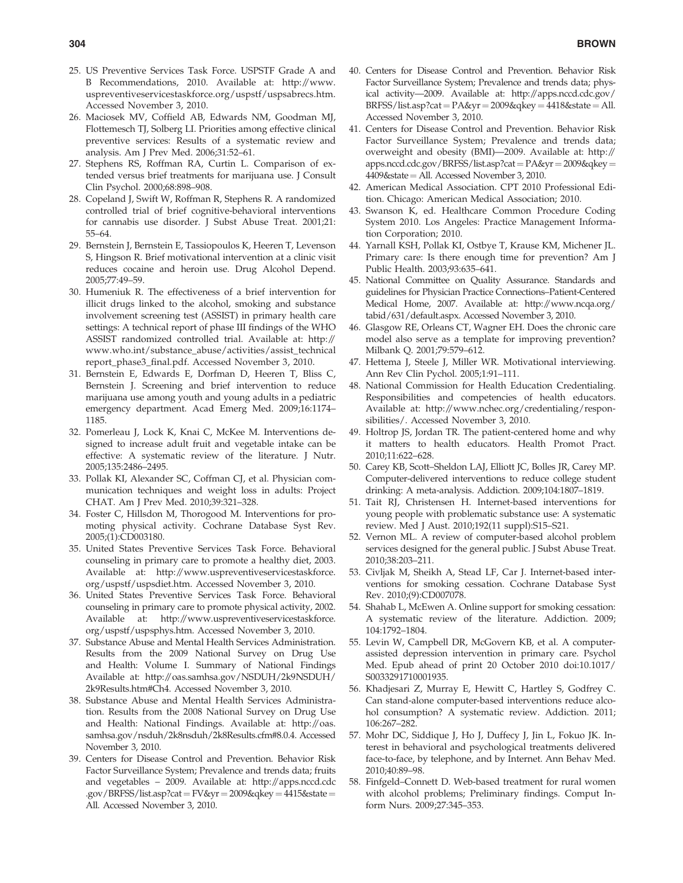- 25. US Preventive Services Task Force. USPSTF Grade A and B Recommendations, 2010. Available at: http://www. uspreventiveservicestaskforce.org/uspstf/uspsabrecs.htm. Accessed November 3, 2010.
- 26. Maciosek MV, Coffield AB, Edwards NM, Goodman MJ, Flottemesch TJ, Solberg LI. Priorities among effective clinical preventive services: Results of a systematic review and analysis. Am J Prev Med. 2006;31:52–61.
- 27. Stephens RS, Roffman RA, Curtin L. Comparison of extended versus brief treatments for marijuana use. J Consult Clin Psychol. 2000;68:898–908.
- 28. Copeland J, Swift W, Roffman R, Stephens R. A randomized controlled trial of brief cognitive-behavioral interventions for cannabis use disorder. J Subst Abuse Treat. 2001;21: 55–64.
- 29. Bernstein J, Bernstein E, Tassiopoulos K, Heeren T, Levenson S, Hingson R. Brief motivational intervention at a clinic visit reduces cocaine and heroin use. Drug Alcohol Depend. 2005;77:49–59.
- 30. Humeniuk R. The effectiveness of a brief intervention for illicit drugs linked to the alcohol, smoking and substance involvement screening test (ASSIST) in primary health care settings: A technical report of phase III findings of the WHO ASSIST randomized controlled trial. Available at: http:// www.who.int/substance\_abuse/activities/assist\_technical report\_phase3\_final.pdf. Accessed November 3, 2010.
- 31. Bernstein E, Edwards E, Dorfman D, Heeren T, Bliss C, Bernstein J. Screening and brief intervention to reduce marijuana use among youth and young adults in a pediatric emergency department. Acad Emerg Med. 2009;16:1174– 1185.
- 32. Pomerleau J, Lock K, Knai C, McKee M. Interventions designed to increase adult fruit and vegetable intake can be effective: A systematic review of the literature. J Nutr. 2005;135:2486–2495.
- 33. Pollak KI, Alexander SC, Coffman CJ, et al. Physician communication techniques and weight loss in adults: Project CHAT. Am J Prev Med. 2010;39:321–328.
- 34. Foster C, Hillsdon M, Thorogood M. Interventions for promoting physical activity. Cochrane Database Syst Rev. 2005;(1):CD003180.
- 35. United States Preventive Services Task Force. Behavioral counseling in primary care to promote a healthy diet, 2003. Available at: http://www.uspreventiveservicestaskforce. org/uspstf/uspsdiet.htm. Accessed November 3, 2010.
- 36. United States Preventive Services Task Force. Behavioral counseling in primary care to promote physical activity, 2002. Available at: http://www.uspreventiveservicestaskforce. org/uspstf/uspsphys.htm. Accessed November 3, 2010.
- 37. Substance Abuse and Mental Health Services Administration. Results from the 2009 National Survey on Drug Use and Health: Volume I. Summary of National Findings Available at: http://oas.samhsa.gov/NSDUH/2k9NSDUH/ 2k9Results.htm#Ch4. Accessed November 3, 2010.
- 38. Substance Abuse and Mental Health Services Administration. Results from the 2008 National Survey on Drug Use and Health: National Findings. Available at: http://oas. samhsa.gov/nsduh/2k8nsduh/2k8Results.cfm#8.0.4. Accessed November 3, 2010.
- 39. Centers for Disease Control and Prevention. Behavior Risk Factor Surveillance System; Prevalence and trends data; fruits and vegetables – 2009. Available at: http://apps.nccd.cdc .gov/BRFSS/list.asp?cat =  $FV$ &yr = 2009&qkey = 4415&state = All. Accessed November 3, 2010.
- 40. Centers for Disease Control and Prevention. Behavior Risk Factor Surveillance System; Prevalence and trends data; physical activity—2009. Available at: http://apps.nccd.cdc.gov/  $BRFSS/list. asp?cat = PA&yr = 2009&qkey = 4418&state = All.$ Accessed November 3, 2010.
- 41. Centers for Disease Control and Prevention. Behavior Risk Factor Surveillance System; Prevalence and trends data; overweight and obesity (BMI)—2009. Available at: http:// apps.nccd.cdc.gov/BRFSS/list.asp?cat = PA&yr = 2009&qkey = 4409&state = All. Accessed November 3, 2010.
- 42. American Medical Association. CPT 2010 Professional Edition. Chicago: American Medical Association; 2010.
- 43. Swanson K, ed. Healthcare Common Procedure Coding System 2010. Los Angeles: Practice Management Information Corporation; 2010.
- 44. Yarnall KSH, Pollak KI, Ostbye T, Krause KM, Michener JL. Primary care: Is there enough time for prevention? Am J Public Health. 2003;93:635–641.
- 45. National Committee on Quality Assurance. Standards and guidelines for Physician Practice Connections–Patient-Centered Medical Home, 2007. Available at: http://www.ncqa.org/ tabid/631/default.aspx. Accessed November 3, 2010.
- 46. Glasgow RE, Orleans CT, Wagner EH. Does the chronic care model also serve as a template for improving prevention? Milbank Q. 2001;79:579–612.
- 47. Hettema J, Steele J, Miller WR. Motivational interviewing. Ann Rev Clin Pychol. 2005;1:91–111.
- 48. National Commission for Health Education Credentialing. Responsibilities and competencies of health educators. Available at: http://www.nchec.org/credentialing/responsibilities/. Accessed November 3, 2010.
- 49. Holtrop JS, Jordan TR. The patient-centered home and why it matters to health educators. Health Promot Pract. 2010;11:622–628.
- 50. Carey KB, Scott–Sheldon LAJ, Elliott JC, Bolles JR, Carey MP. Computer-delivered interventions to reduce college student drinking: A meta-analysis. Addiction. 2009;104:1807–1819.
- 51. Tait RJ, Christensen H. Internet-based interventions for young people with problematic substance use: A systematic review. Med J Aust. 2010;192(11 suppl):S15–S21.
- 52. Vernon ML. A review of computer-based alcohol problem services designed for the general public. J Subst Abuse Treat. 2010;38:203–211.
- 53. Civljak M, Sheikh A, Stead LF, Car J. Internet-based interventions for smoking cessation. Cochrane Database Syst Rev. 2010;(9):CD007078.
- 54. Shahab L, McEwen A. Online support for smoking cessation: A systematic review of the literature. Addiction. 2009; 104:1792–1804.
- 55. Levin W, Campbell DR, McGovern KB, et al. A computerassisted depression intervention in primary care. Psychol Med. Epub ahead of print 20 October 2010 doi:10.1017/ S0033291710001935.
- 56. Khadjesari Z, Murray E, Hewitt C, Hartley S, Godfrey C. Can stand-alone computer-based interventions reduce alcohol consumption? A systematic review. Addiction. 2011; 106:267–282.
- 57. Mohr DC, Siddique J, Ho J, Duffecy J, Jin L, Fokuo JK. Interest in behavioral and psychological treatments delivered face-to-face, by telephone, and by Internet. Ann Behav Med. 2010;40:89–98.
- 58. Finfgeld–Connett D. Web-based treatment for rural women with alcohol problems; Preliminary findings. Comput Inform Nurs. 2009;27:345–353.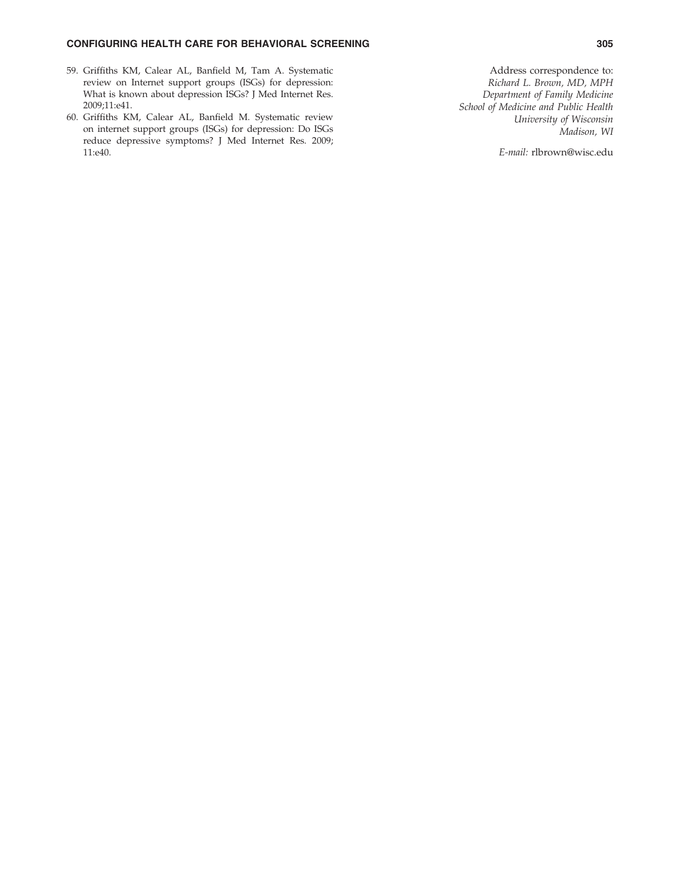# CONFIGURING HEALTH CARE FOR BEHAVIORAL SCREENING 305

- 59. Griffiths KM, Calear AL, Banfield M, Tam A. Systematic review on Internet support groups (ISGs) for depression: What is known about depression ISGs? J Med Internet Res. 2009;11:e41.
- 60. Griffiths KM, Calear AL, Banfield M. Systematic review on internet support groups (ISGs) for depression: Do ISGs reduce depressive symptoms? J Med Internet Res. 2009; 11:e40.

Address correspondence to: Richard L. Brown, MD, MPH Department of Family Medicine School of Medicine and Public Health University of Wisconsin Madison, WI

E-mail: rlbrown@wisc.edu